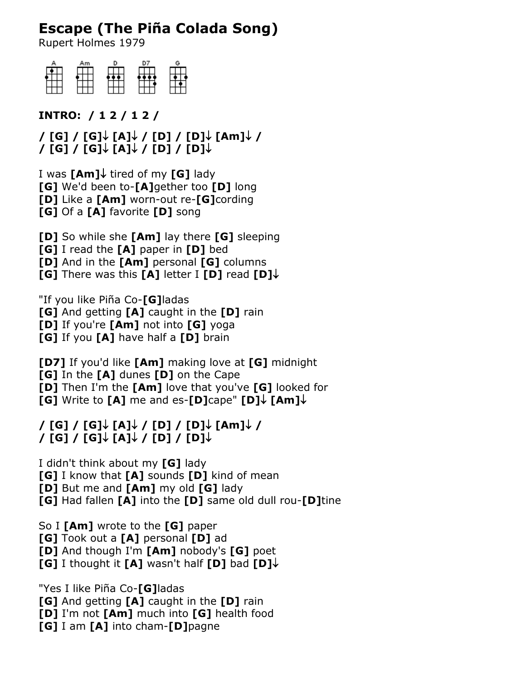## **Escape (The Piña Colada Song)**

Rupert Holmes 1979

| Am |  | G |
|----|--|---|
|    |  |   |
|    |  |   |
|    |  |   |

**INTRO: / 1 2 / 1 2 /**

**/ [G] / [G] [A] / [D] / [D] [Am] / / [G] / [G] [A] / [D] / [D]**

I was **[Am]**↓ tired of my **[G]** lady **[G]** We'd been to-**[A]**gether too **[D]** long **[D]** Like a **[Am]** worn-out re-**[G]**cording **[G]** Of a **[A]** favorite **[D]** song

**[D]** So while she **[Am]** lay there **[G]** sleeping

**[G]** I read the **[A]** paper in **[D]** bed

**[D]** And in the **[Am]** personal **[G]** columns

**[G]** There was this **[A]** letter I **[D]** read **[D]**

"If you like Piña Co-**[G]**ladas

**[G]** And getting **[A]** caught in the **[D]** rain

**[D]** If you're **[Am]** not into **[G]** yoga

**[G]** If you **[A]** have half a **[D]** brain

**[D7]** If you'd like **[Am]** making love at **[G]** midnight **[G]** In the **[A]** dunes **[D]** on the Cape **[D]** Then I'm the **[Am]** love that you've **[G]** looked for **[G]** Write to **[A]** me and es-**[D]**cape" **[D]** $\downarrow$  **[Am]** $\downarrow$ 

## **/ [G] / [G] [A] / [D] / [D] [Am] / / [G] / [G] [A] / [D] / [D]**

I didn't think about my **[G]** lady **[G]** I know that **[A]** sounds **[D]** kind of mean **[D]** But me and **[Am]** my old **[G]** lady **[G]** Had fallen **[A]** into the **[D]** same old dull rou-**[D]**tine

So I **[Am]** wrote to the **[G]** paper

**[G]** Took out a **[A]** personal **[D]** ad

**[D]** And though I'm **[Am]** nobody's **[G]** poet **[G]** I thought it **[A]** wasn't half **[D]** bad **[D]**

"Yes I like Piña Co-**[G]**ladas

**[G]** And getting **[A]** caught in the **[D]** rain

**[D]** I'm not **[Am]** much into **[G]** health food

**[G]** I am **[A]** into cham-**[D]**pagne